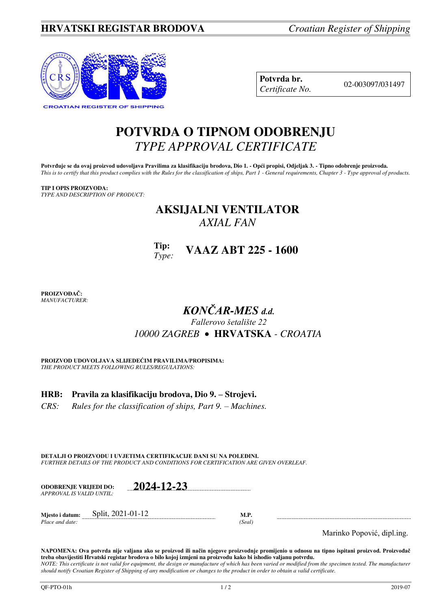

**Potvrda br.** 02-003097/031497 *Certificate No.* 

# **POTVRDA O TIPNOM ODOBRENJU**  *TYPE APPROVAL CERTIFICATE*

**Potvrđuje se da ovaj proizvod udovoljava Pravilima za klasifikaciju brodova, Dio 1. - Opći propisi, Odjeljak 3. - Tipno odobrenje proizvoda.**  *This is to certify that this product complies with the Rules for the classification of ships, Part 1 - General requirements, Chapter 3 - Type approval of products.* 

#### **TIP I OPIS PROIZVODA:**

*TYPE AND DESCRIPTION OF PRODUCT:* 

## **AKSIJALNI VENTILATOR**  *AXIAL FAN*



**PROIZVOĐAČ:** *MANUFACTURER:*

# *KONČAR-MES d.d.*

*Fallerovo šetalište 22 10000 ZAGREB* **HRVATSKA** *- CROATIA*

**PROIZVOD UDOVOLJAVA SLIJEDEĆIM PRAVILIMA/PROPISIMA:** *THE PRODUCT MEETS FOLLOWING RULES/REGULATIONS:* 

### **HRB: Pravila za klasifikaciju brodova, Dio 9. – Strojevi.**

*CRS:* Rules for the classification of ships, Part 9. – Machines.

**DETALJI O PROIZVODU I UVJETIMA CERTIFIKACIJE DANI SU NA POLEĐINI.** *FURTHER DETAILS OF THE PRODUCT AND CONDITIONS FOR CERTIFICATION ARE GIVEN OVERLEAF.* 

| <b>ODOBRENJE VRLJEDI DO:</b> | 2024-12-23 |
|------------------------------|------------|
| APPROVAL IS VALID UNTIL:     |            |

**Mjesto i datum:** <u>Split, 2021-01-12</u> **M.P.**<br>*Place and date:* (*Seal*) *Place and date:* 

Marinko Popović, dipl.ing.

**NAPOMENA: Ova potvrda nije valjana ako se proizvod ili način njegove proizvodnje promijenio u odnosu na tipno ispitani proizvod. Proizvođač treba obavijestiti Hrvatski registar brodova o bilo kojoj izmjeni na proizvodu kako bi ishodio valjanu potvrdu.**  *NOTE: This certificate is not valid for equipment, the design or manufacture of which has been varied or modified from the specimen tested. The manufacturer should notify Croatian Register of Shipping of any modification or changes to the product in order to obtain a valid certificate.*